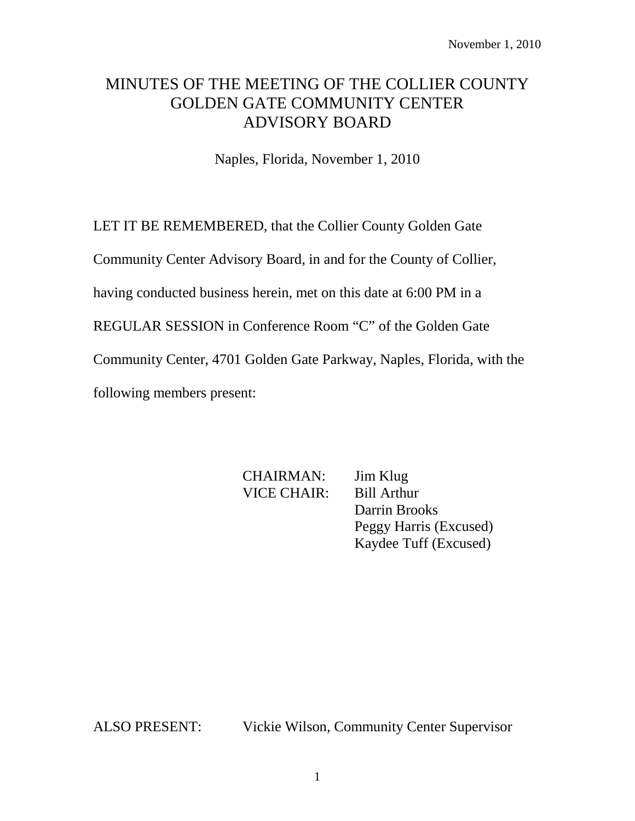# MINUTES OF THE MEETING OF THE COLLIER COUNTY GOLDEN GATE COMMUNITY CENTER ADVISORY BOARD

Naples, Florida, November 1, 2010

LET IT BE REMEMBERED, that the Collier County Golden Gate

Community Center Advisory Board, in and for the County of Collier,

having conducted business herein, met on this date at 6:00 PM in a

REGULAR SESSION in Conference Room "C" of the Golden Gate

Community Center, 4701 Golden Gate Parkway, Naples, Florida, with the

following members present:

CHAIRMAN: Jim Klug VICE CHAIR: Bill Arthur

Darrin Brooks Peggy Harris (Excused) Kaydee Tuff (Excused)

ALSO PRESENT: Vickie Wilson, Community Center Supervisor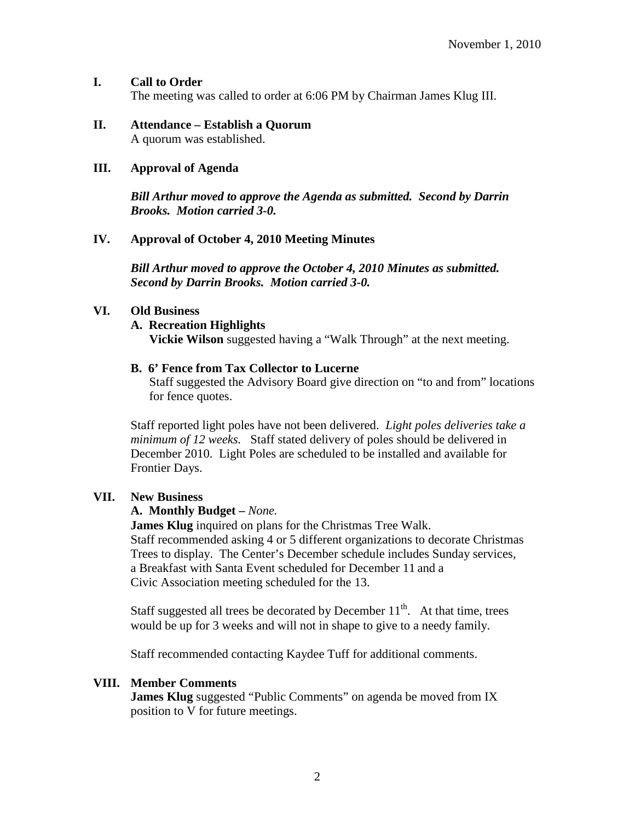# **I. Call to Order**

The meeting was called to order at 6:06 PM by Chairman James Klug III.

#### **II. Attendance – Establish a Quorum** A quorum was established.

## **III. Approval of Agenda**

*Bill Arthur moved to approve the Agenda as submitted. Second by Darrin Brooks. Motion carried 3-0.*

# **IV. Approval of October 4, 2010 Meeting Minutes**

*Bill Arthur moved to approve the October 4, 2010 Minutes as submitted. Second by Darrin Brooks. Motion carried 3-0.*

#### **VI. Old Business**

# **A. Recreation Highlights**

**Vickie Wilson** suggested having a "Walk Through" at the next meeting.

#### **B. 6' Fence from Tax Collector to Lucerne**

Staff suggested the Advisory Board give direction on "to and from" locations for fence quotes.

Staff reported light poles have not been delivered. *Light poles deliveries take a minimum of 12 weeks.* Staff stated delivery of poles should be delivered in December 2010. Light Poles are scheduled to be installed and available for Frontier Days.

# **VII. New Business**

#### **A. Monthly Budget –** *None.*

**James Klug** inquired on plans for the Christmas Tree Walk. Staff recommended asking 4 or 5 different organizations to decorate Christmas Trees to display. The Center's December schedule includes Sunday services, a Breakfast with Santa Event scheduled for December 11 and a Civic Association meeting scheduled for the 13.

Staff suggested all trees be decorated by December  $11<sup>th</sup>$ . At that time, trees would be up for 3 weeks and will not in shape to give to a needy family.

Staff recommended contacting Kaydee Tuff for additional comments.

#### **VIII. Member Comments**

**James Klug** suggested "Public Comments" on agenda be moved from IX position to V for future meetings.